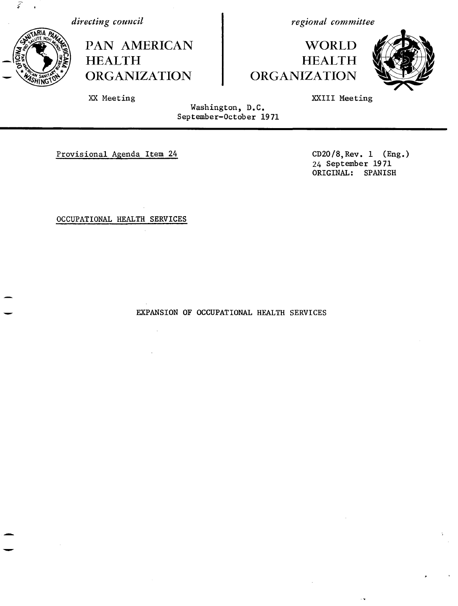

*directing council*

PAN AMERICAN **HEALTH** ORGANIZATION

*regional committee*

**WORLD HEALTH** ORGANIZATION



XXIII Meeting

Washington, D.C. September-October 1971

Provisional Agenda Item 24 CD20/8, Rev. 1 (Eng.)

XX Meeting

24 September 1971 ORIGINAL: SPANISH

OCCUPATIONAL HEALTH SERVICES

 $\mathcal{A}$ 

EXPANSION OF OCCUPATIONAL HEALTH SERVICES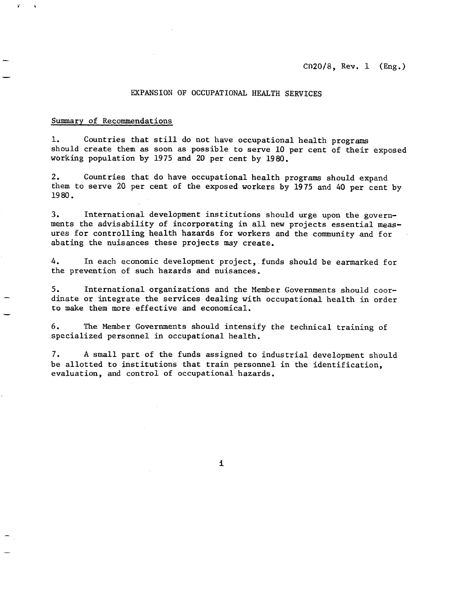### EXPANSION OF OCCUPATIONAL HEALTH SERVICES

#### Summary of Recommendations

 $\ddot{\bullet}$ 

1. Countries that still do not have occupational health programs should create them as soon as possible to serve 10 per cent of their exposed working population by 1975 and 20 per cent by 1980.

2. Countries that do have occupational health programs should expand them to serve 20 per cent of the exposed workers by 1975 and 40 per cent by 1980.

3. International development institutions should urge upon the governments the advisability of incorporating in all new projects essential measures for controlling health hazards for workers and the community and for abating the nuisances these projects may create.

4. In each economic development project, funds should be earmarked for the prevention of such hazards and nuisances.

5. International organizations and the Member Governments should coordinate or integrate the services dealing with occupational health in order to make them more effective and economical.

6. The Member Governments should intensify the technical training of specialized personnel in occupational health.

7. A small part of the funds assigned to industrial development should be allotted to institutions that train personnel in the identification, evaluation, and control of occupational hazards.

i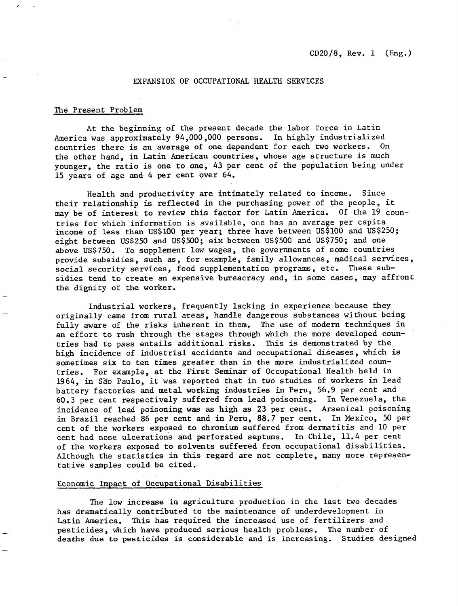### EXPANSION OF OCCUPATIONAL HEALTH SERVICES

### The Present Problem

At the beginning of the present decade the labor force in Latin America was approximately 94,000,000 persons. In highly industrialized countries there is an average of one dependent for each two workers. On the other hand, in Latin American countries, whose age structure is much younger, the ratio is one to one, 43 per cent of the population being under 15 years of age and 4 per cent over 64.

Health and productivity are intimately related to income. Since their relationship is reflected in the purchasing power of the people, it may be of interest to review this factor for Latin America. Of the 19 countries for which information is available, one has an average per capita income of less than US\$100 per year; three have between US\$100 and US\$250; eight between US\$250 and US\$500; six between US\$500 and US\$750; and one above US\$750. To supplement low wages, the governments of some countries provide subsidies, such as, for example, family allowances, medical services, social security services, food supplementation programs, etc. These subsidies tend to create an expensive bureacracy and, in some cases, may affront the dignity of the worker.

Industrial workers, frequently lacking in experience because they originally came from rural areas, handle dangerous substances without being fully aware of the risks inherent in them. The use of modern techniques in an effort to rush through the stages through which the more developed countries had to pass entails additional risks. This is demonstrated by the high incidence of industrial accidents and occupational diseases, which is sometimes six to ten times greater than in the more industrialized countries. For example, at the First Seminar of Occupational Health held in 1964, in São Paulo, it was reported that in two studies of workers in lead battery factories and metal working industries in Peru, 56.9 per cent and 60.3 per cent respectively suffered from lead poisoning. In Venezuela, the incidence of lead poisoning was as high as 23 per cent. Arsenical poisoning in Brazil reached 86 per cent and in Peru, 88.7 per cent. In Mexico, 50 per cent of the workers exposed to chromium suffered from dermatitis and 10 per cent had nose ulcerations and perforated septums. In Chile, 11.4 per cent of the workers exposed to solvents suffered from occupational disabilities. Although the statistics in this regard are not complete, many more representative samples could be cited.

#### Economic Impact of Occupational Disabilities

The low increase in agriculture production in the last two decades has dramatically contributed to the maintenance of underdevelopment in Latin America. This has required the increased use of fertilizers and pesticides, which have produced serious health problems. The number of deaths due to pesticides is considerable and is increasing. Studies designed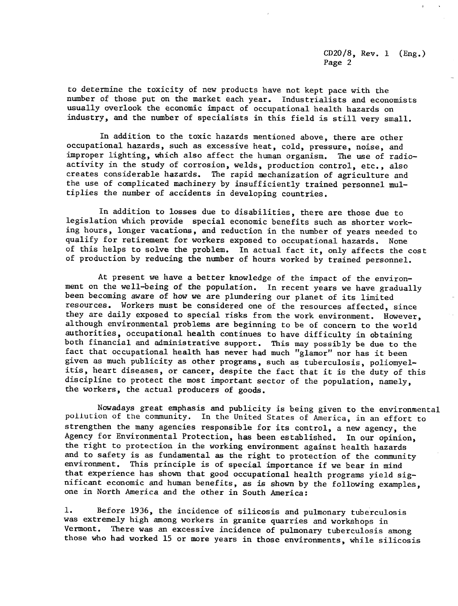to determine the toxicity of new products have not kept pace with the number of those put on the market each year. Industrialists and economists usually overlook the economic impact of occupational health hazards on industry, and the number of specialists in this field is still very small.

In addition to the toxic hazards mentioned above, there are other occupational hazards, such as excessive heat, cold, pressure, noise, and improper lighting, which also affect the human organism. The use of radioactivity in the study of corrosion, welds, production control, etc., also creates considerable hazards. The rapid mechanization of agriculture and the use of complicated machinery by insufficiently trained personnel multiplies the number of accidents in developing countries.

In addition to losses due to disabilities, there are those due to legislation which provide special economic benefits such as shorter working hours, longer vacations, and reduction in the number of years needed to qualify for retirement for workers exposed to occupational hazards. None of this helps to solve the problem. In actual fact it, only affects the cost of production by reducing the number of hours worked by trained personnel.

At present we have a better knowledge of the impact of the environment on the well-being of the population. In recent years we have gradually been becoming aware of how we are plundering our planet of its limited resources. Workers must be considered one of the resources affected, since they are daily exposed to special risks from the work environment. However, although environmental problems are beginning to be of concern to the world authorities, occupational health continues to have difficulty in obtaining both financial and administrative support. This may possibly be due to the fact that occupational health has never had much "glamor" nor has it been given as much publicity as other programs, such as tuberculosis, poliomyelitis, heart diseases, or cancer, despite the fact that it is the duty of this discipline to protect the most important sector of the population, namely, the workers, the actual producers of goods.

Nowadays great emphasis and publicity is being given to the environmental pollution of the community. In the United States of America, in an effort to strengthen the many agencies responsible for its control, a new agency, the Agency for Environmental Protection, has been established. In our opinion, the right to protection in the working environment against health hazards and to safety is as fundamental as the right to protection of the community environment. This principle is of special importance if we bear in mind that experience has shown that good occupational health programs yield significant economic and human benefits, as is shown by the following examples, one in North America and the other in South America:

1. Before 1936, the incidence of silicosis and pulmonary tuberculosis was extremely high among workers in granite quarries and workshops in Vermont. There was an excessive incidence of pulmonary tuberculosis among those who had worked 15 or more years in those environments, while silicosis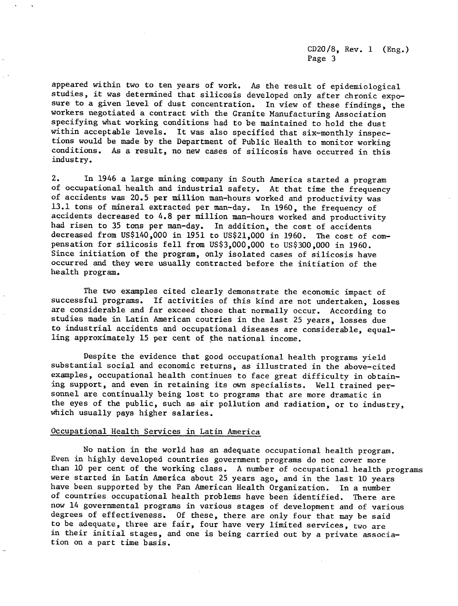appeared within two to ten years of work. As the result of epidemiological studies, it was determined that silicosis developed only after chronic exposure to a given level of dust concentration. In view of these findings, the workers negotiated a contract with the Granite Manufacturing Association specifying what working conditions had to be maintained to hold the dust within acceptable levels. It was also specified that six-monthly inspections would be made by the Department of Public Health to monitor working conditions. As a result, no new cases of silicosis have occurred in this industry.

2. In 1946 a large mining company in South America started a program of occupational health and industrial safety. At that time the frequency of accidents was 20.5 per million man-hours worked and productivity was 13.1 tons of mineral extracted per man-day. In 1960, the frequency of accidents decreased to 4.8 per million man-hours worked and productivity had risen to 35 tons per man-day. In addition, the cost of accidents decreased from US\$140,000 in 1951 to US\$21,000 in 1960. The cost of compensation for silicosis fell from US\$3,000,000 to US\$300,000 in 1960. Since initiation of the program, only isolated cases of silicosis have occurred and they were usually contracted before the initiation of the health program.

The two examples cited clearly demonstrate the economic impact of successful programs. If activities of this kind are not undertaken, losses are considerable and far exceed those that normally occur. According to studies made in Latin American coutries in the last 25 years, losses due to industrial accidents and occupational diseases are considerable, equalling approximately 15 per cent of the national income.

Despite the evidence that good occupational health programs yield substantial social and economic returns, as illustrated in the above-cited examples, occupational health continues to face great difficulty in obtaining support, and even in retaining its own specialists. Well trained personnel are continually being lost to programs that are more dramatic in the eyes of the public, such as air pollution and radiation, or to industry, which usually pays higher salaries.

# Occupational Health Services in Latin America

No nation in the world has an adequate occupational health program. Even in highly developed countries government programs do not cover more than 10 per cent of the working class. A number of occupational health programs were started in Latin America about 25 years ago, and in the last 10 years have been supported by the Pan American Health Organization. In a number of countries occupational health problems have been identified. There are now 14 governmental programs in various stages of development and of various degrees of effectiveness. Of these, there are only four that may be said to be adequate, three are fair, four have very limited services, two are in their initial stages, and one is being carried out by a private association on a part time basis.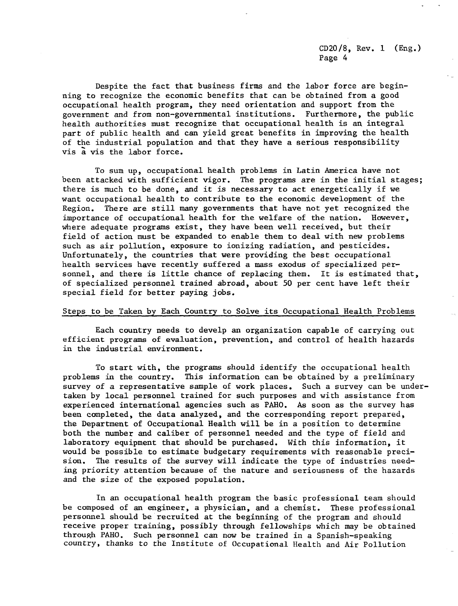Despite the fact that business firms and the labor force are beginning to recognize the economic benefits that can be obtained from a good occupational health program, they need orientation and support from the government and from non-governmental institutions. Furthermore, the public health authorities must recognize that occupational health is an integral part of public health and can yield great benefits in improving the health of the industrial population and that they have a serious responsibility vis a vis the labor force.

To sum up, occupational health problems in Latin America have not been attacked with sufficient vigor. The programs are in the initial stages; there is much to be done, and it is necessary to act energetically if we want occupational health to contribute to the economic development of the Region. There are still many governments that have not yet recognized the importance of occupational health for the welfare of the nation. However, where adequate programs exist, they have been well received, but their field of action must be expanded to enable them to deal with new problems such as air pollution, exposure to ionizing radiation, and pesticides. Unfortunately, the countries that were providing the best occupational health services have recently suffered a mass exodus of specialized personnel, and there is little chance of replacing them. It is estimated that, of specialized personnel trained abroad, about 50 per cent have left their special field for better paying jobs.

### Steps to be Taken by Each Country to Solve its Occupational Health Problems

Each country needs to develp an organization capable of carrying out efficient programs of evaluation, prevention, and control of health hazards in the industrial environment.

To start with, the programs should identify the occupational health problems in the country. This information can be obtained by a preliminary survey of a representative sample of work places. Such a survey can be undertaken by local personnel trained for such purposes and with assistance from experienced international agencies such as PAHO. As soon as the survey has been completed, the data analyzed, and the corresponding report prepared, the Department of Occupational Health will be in a position to determine both the number and caliber of personnel needed and the type of field and laboratory equipment that should be purchased. With this information, it would be possible to estimate budgetary requirements with reasonable precision. The results of the survey will indicate the type of industries needing priority attention because of the nature and seriousness of the hazards and the size of the exposed population.

In an occupational health program the basic professional team should be composed of an engineer, a physician, and a chemist. These professional personnel should be recruited at the beginning of the program and should receive proper training, possibly through fellowships which may be obtained through PAHO. Such personnel can now be trained in a Spanish-speaking country, thanks to the Institute of Occupational Health and Air Pollution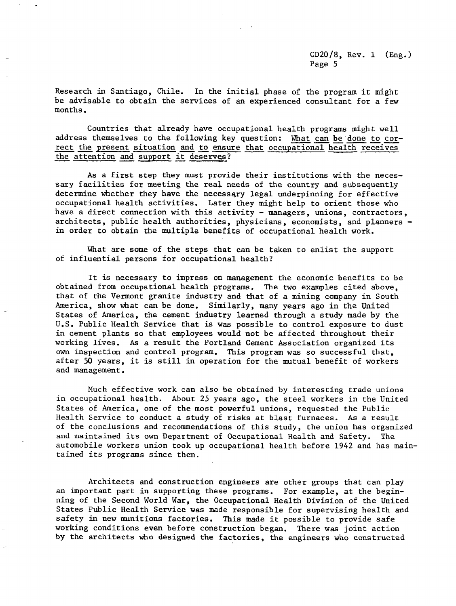Research in Santiago, Chile. In the initial phase of the program it might be advisable to obtain the services of an experienced consultant for a few months.

Countries that already have occupational health programs might well address themselves to the following key question: What can be done to correct the present situation and to ensure that occupational health receives the attention and support it deserves?

As a first step they must provide their institutions with the necessary facilities for meeting the real needs of the country and subsequently determine whether they have the necessary legal underpinning for effective occupational health activities. Later they might help to orient those who have a direct connection with this activity - managers, unions, contractors, architects, public health authorities, physicians, economists, and planners in order to obtain the multiple benefits of occupational health work.

What are some of the steps that can be taken to enlist the support of influential persons for occupational health?

It is necessary to impress on management the economic benefits to be obtained from occupational health programs. The two examples cited above, that of the Vermont granite industry and that of a mining company in South America, show what can be done. Similarly, many years ago in the United States of America, the cement industry learned through a study made by the U.S. Public Health Service that is was possible to control exposure to dust in cement plants so that employees would not be affected throughout their working lives. As a result the Portland Cement Association organized its own inspection and control program. This program was so successful that, after 50 years, it is still in operation for the mutual benefit of workers and management.

Much effective work can also be obtained by interesting trade unions in occupational health. About 25 years ago, the steel workers in the United States of America, one of the most powerful unions, requested the Public Health Service to conduct a study of risks at blast furnaces. As a result of the conclusions and recommendations of this study, the union has organized and maintained its own Department of Occupational Health and Safety. The automobile workers union took up occupational health before 1942 and has maintained its programs since then.

Architects and construction engineers are other groups that can play an important part in supporting these programs. For example, at the beginning of the Second World War, the Occupational Health Division of the United States Public Health Service was made responsible for supervising health and safety in new munitions factories. This made it possible to provide safe working conditions even before construction began. There was joint action by the architects who designed the factories, the engineers who constructed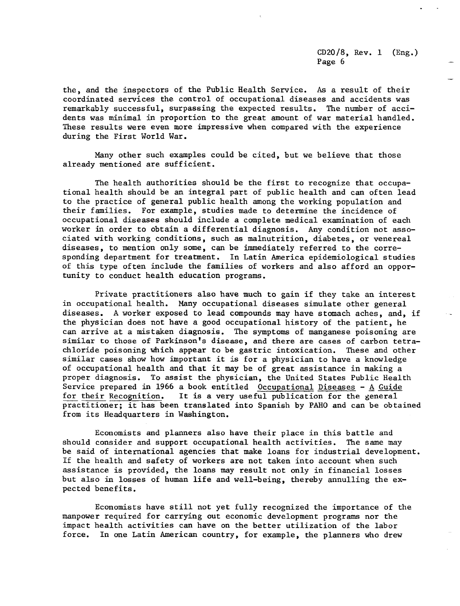the, and the inspectors of the Public Health Service. As a result of their coordinated services the control of occupational diseases and accidents was remarkably successful, surpassing the expected results. The number of accidents was minimal in proportion to the great amount of war material handled. These results were even more impressive when compared with the experience during the First World War.

Many other such examples could be cited, but we believe that those already mentioned are sufficient.

The health authorities should be the first to recognize that occupational health should be an integral part of public health and can often lead to the practice of general public health among the working population and their families. For example, studies made to determine the incidence of occupational diseases should include a complete medical examination of each worker in order to obtain a differential diagnosis. Any condition not associated with working conditions, such as malnutrition, diabetes, or venereal diseases, to mention only some, can be immediately referred to the corresponding department for treatment. In Latin America epidemiological studies of this type often include the families of workers and also afford an opportunity to conduct health education programs.

Private practitioners also have much to gain if they take an interest in occupational health. Many occupational diseases simulate other general diseases. A worker exposed to lead compounds may have stomach aches, and, if the physician does not have a good occupational history of the patient, he can arrive at a mistaken diagnosis. The symptoms of manganese poisoning are similar to those of Parkinson's disease, and there are cases of carbon tetrachloride poisoning which appear to be gastric intoxication. These and other similar cases show how important it is for a physician to have a knowledge of occupational health and that it may be of great assistance in making a proper diagnosis. To assist the physician, the United States Public Health Service prepared in 1966 a book entitled Occupational Diseases - A Guide for their Recognition. It is a very useful publication for the general practitioner; it has been translated into Spanish by PAHO and can be obtained from its Headquarters in Washington.

Economists and planners also have their place in this battle and should consider and support occupational health activities. The same may be said of international agencies that make loans for industrial development. If the health and safety of workers are not taken into account when such assistance is provided, the loans may result not only in financial losses but also in losses of human life and well-being, thereby annulling the expected benefits.

Economists have still not yet fully recognized the importance of the manpower required for carrying out economic development programs nor the impact health activities can have on the better utilization of the labor force. In one Latin American country, for example, the planners who drew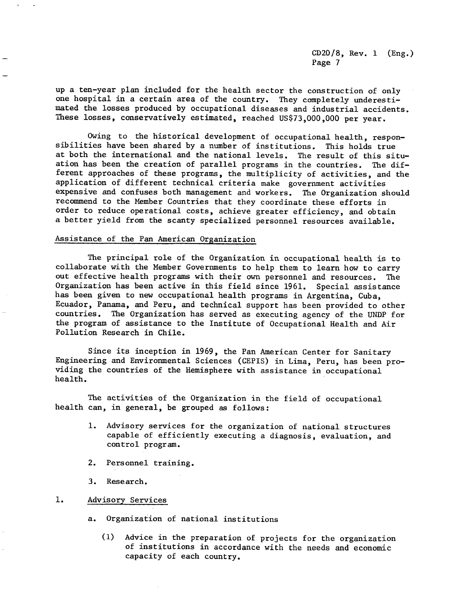up a ten-year plan included for the health sector the construction of only one hospital in a certain area of the country. They completely underestimated the losses produced by occupational diseases and industrial accidents. These losses, conservatively estimated, reached US\$73,000,000 per year.

Owing to the historical development of occupational health, responsibilities have been shared by a number of institutions. This holds true at both the international and the national levels. The result of this situation has been the creation of parallel programs in the countries. The different approaches of these programs, the multiplicity of activities, and the application of different technical criteria make government activities expensive and confuses both management and workers. The Organization should recommend to the Member Countries that they coordinate these efforts in order to reduce operational costs, achieve greater efficiency, and obtain a better yield from the scanty specialized personnel resources available.

## Assistance of the Pan American Organization

The principal role of the Organization in occupational health is to collaborate with the Member Governments to help them to learn how to carry out effective health programs with their own personnel and resources. The Organization has been active in this field since 1961. Special assistance has been given to new occupational health programs in Argentina, Cuba, Ecuador, Panama, and Peru, and technical support has been provided to other countries. The Organization has served as executing agency of the UNDP for the program of assistance to the Institute of Occupational Health and Air Pollution Research in Chile.

Since its inception in 1969, the Pan American Center for Sanitary Engineering and Environmental Sciences (CEPIS) in Lima, Peru, has been providing the countries of the Hemisphere with assistance in occupational health.

The activities of the Organization in the field of occupational health can, in general, be grouped as follows:

- 1. Advisory services for the organization of national structures capable of efficiently executing a diagnosis, evaluation, and control program.
- 2. Personnel training.
- 3. Research.
- 1. Advisory Services
	- a. Organization of national institutions
		- (1) Advice in the preparation of projects for the organization of institutions in accordance with the needs and economic capacity of each country.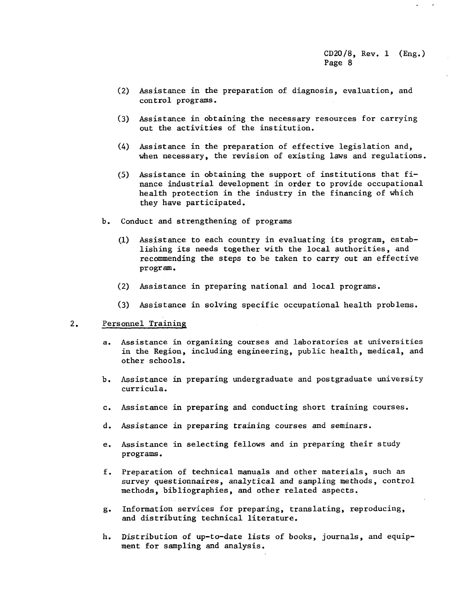- (2) Assistance in the preparation of diagnosis, evaluation, and control programs.
- (3) Assistance in obtaining the necessary resources for carrying out the activities of the institution.
- (4) Assistance in the preparation of effective legislation and, when necessary, the revision of existing laws and regulations.
- (5) Assistance in obtaining the support of institutions that finance industrial development in order to provide occupational health protection in the industry in the financing of which they have participated.
- b. Conduct and strengthening of programs
	- (1) Assistance to each country in evaluating its program, establishing its needs together with the local authorities, and recommending the steps to be taken to carry out an effective program.
	- (2) Assistance in preparing national and local programs.
	- (3) Assistance in solving specific occupational health problems.

#### 2. Personnel Training

- a. Assistance in organizing courses and laboratories at universities in the Region, including engineering, public health, medical, and other schools.
- b. Assistance in preparing undergraduate and postgraduate university curricula.
- c. Assistance in preparing and conducting short training courses.
- d. Assistance in preparing training courses and seminars.
- e. Assistance in selecting fellows and in preparing their study programs.
- f. Preparation of technical manuals and other materials, such as survey questionnaires, analytical and sampling methods, control methods, bibliographies, and other related aspects.
- g. Information services for preparing, translating, reproducing, and distributing technical literature.
- h. Distribution of up-to-date lists of books, journals, and equipment for sampling and analysis.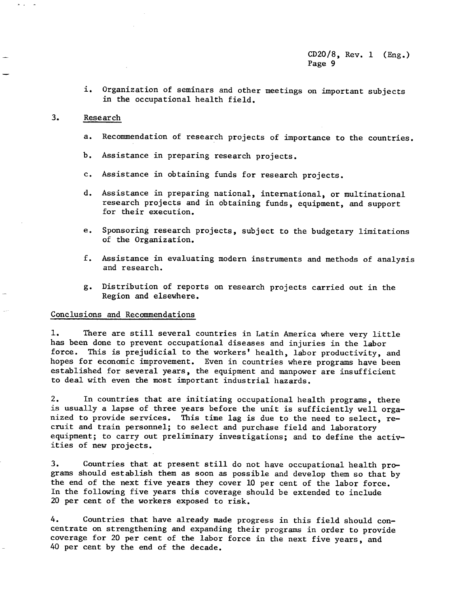i. Organization of seminars and other meetings on important subjects in the occupational health field.

# 3. Research

 $\mathbf{S}=\mathbf{a}$  .

- a. Recommendation of research projects of importance to the countries.
- b. Assistance in preparing research projects.
- c. Assistance in obtaining funds for research projects.
- d. Assistance in preparing national, international, or multinational research projects and in obtaining funds, equipment, and support for their execution.
- e. Sponsoring research projects, subject to the budgetary limitations of the Organization.
- f. Assistance in evaluating modern instruments and methods of analysis and research.
- g. Distribution of reports on research projects carried out in the Region and elsewhere.

## Conclusions and Recommendations

1. There are still several countries in Latin America where very little has been done to prevent occupational diseases and injuries in the labor force. This is prejudicial to the workers' health, labor productivity, and hopes for economic improvement. Even in countries where programs have been established for several years, the equipment and manpower are insufficient to deal with even the most important industrial hazards.

2. In countries that are initiating occupational health programs, there is usually a lapse of three years before the unit is sufficiently well organized to provide services. This time lag is due to the need to select, recruit and train personnel; to select and purchase field and laboratory equipment; to carry out preliminary investigations; and to define the activities of new projects.

3. Countries that at present still do not have occupational health programs should establish them as soon as possible and develop them so that by the end of the next five years they cover 10 per cent of the labor force. In the following five years this coverage should be extended to include 20 per cent of the workers exposed to risk.

4. Countries that have already made progress in this field should concentrate on strengthening and expanding their programs in order to provide coverage for 20 per cent of the labor force in the next five years, and 40 per cent by the end of the decade.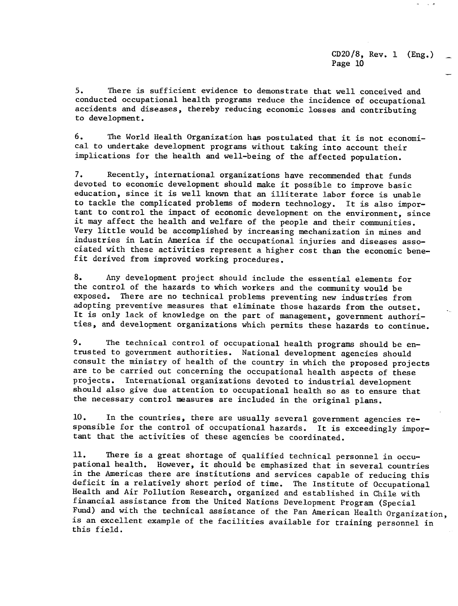$\cdot$   $\cdot$ 

5. There is sufficient evidence to demonstrate that well conceived and conducted occupational health programs reduce the incidence of occupational accidents and diseases, thereby reducing economic losses and contributing to development.

6. The World Health Organization has postulated that it is not economical to undertake development programs without taking into account their implications for the health and well-being of the affected population.

7. Recently, international organizations have recommended that funds devoted to economic development should make it possible to improve basic education, since it is well known that an illiterate labor force is unable to tackle the complicated problems of modern technology. It is also important to control the impact of economic development on the environment, since it may affect the health and welfare of the people and their communities. Very little would be accomplished by increasing mechanization in mines and industries in Latin America if the occupational injuries and diseases associated with these activities represent a higher cost than the economic benefit derived from improved working procedures.

8. Any development project should include the essential elements for the control of the hazards to which workers and the community would be exposed. There are no technical problems preventing new industries from adopting preventive measures that eliminate those hazards from the outset. It is only lack of knowledge on the part of management, government authorities, and development organizations which permits these hazards to continue.

9. The technical control of occupational health programs should be entrusted to government authorities. National development agencies should consult the ministry of health of the country in which the proposed projects are to be carried out concerning the occupational health aspects of these projects. International organizations devoted to industrial development should also give due attention to occupational health so as to ensure that the necessary control measures are included in the original plans.

10. In the countries, there are usually several government agencies responsible for the control of occupational hazards. It is exceedingly important that the activities of these agencies be coordinated.

11. There is a great shortage of qualified technical personnel in occupational health. However, it should be emphasized that in several countries in the Americas there are institutions and services capable of reducing this deficit in a relatively short period of time. The Institute of Occupational Health and Air Pollution Research, organized and established in Chile with financial assistance from the United Nations Development Program (Special Fund) and with the technical assistance of the Pan American Health Organization, is an excellent example of the facilities available for training personnel in this field.